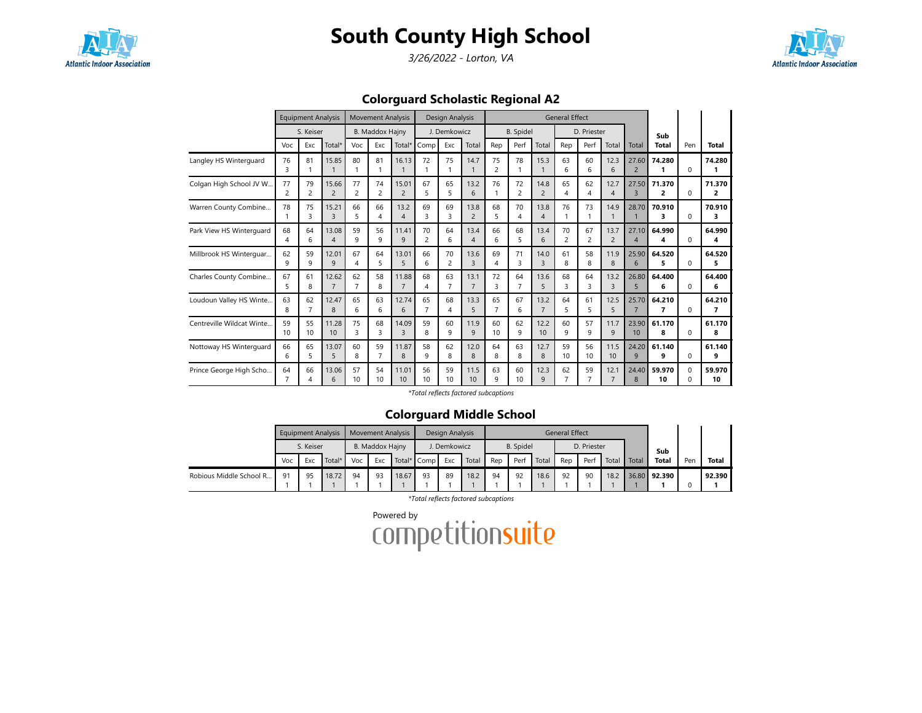

3/26/2022 - Lorton, VA



Colorguard Scholastic Regional A2

|                            |                      | <b>Equipment Analysis</b> |                         |                      | <b>Movement Analysis</b> |                         |                      | Design Analysis      |                         |                      |                      |                        | <b>General Effect</b>  |                      |                        |                                   |                          |                          |              |
|----------------------------|----------------------|---------------------------|-------------------------|----------------------|--------------------------|-------------------------|----------------------|----------------------|-------------------------|----------------------|----------------------|------------------------|------------------------|----------------------|------------------------|-----------------------------------|--------------------------|--------------------------|--------------|
|                            |                      | S. Keiser                 |                         |                      | <b>B. Maddox Hajny</b>   |                         |                      | J. Demkowicz         |                         |                      | <b>B.</b> Spidel     |                        |                        | D. Priester          |                        |                                   | Sub                      |                          |              |
|                            | Voc                  | Exc                       | Total*                  | Voc                  | Exc                      | Total*                  | Comp                 | Exc                  | Total                   | Rep                  | Perf                 | Total                  | Rep                    | Perf                 | Total                  | Total                             | <b>Total</b>             | Pen                      | Total        |
| Langley HS Winterguard     | 76<br>3              | 81                        | 15.85                   | 80                   | 81                       | 16.13                   | 72<br>1              | 75                   | 14.7<br>$\mathbf{1}$    | 75<br>$\overline{2}$ | 78                   | 15.3                   | 63<br>6                | 60<br>6              | 12.3<br>6              | 27.60<br>$\overline{2}$           | 74.280<br>1              | $\Omega$                 | 74.280<br>1  |
| Colgan High School JV W    | 77<br>$\overline{c}$ | 79<br>$\overline{c}$      | 15.66<br>$\overline{c}$ | 77<br>$\overline{2}$ | 74<br>$\overline{c}$     | 15.01<br>$\overline{c}$ | 67<br>5              | 65<br>5              | 13.2<br>6               | 76                   | 72<br>$\overline{c}$ | 14.8<br>$\overline{c}$ | 65<br>4                | 62<br>4              | 12.7<br>$\overline{4}$ | 27.50<br>$\overline{3}$           | 71.370<br>$\overline{2}$ | $\Omega$                 | 71.370<br>2  |
| Warren County Combine      | 78                   | 75<br>ς                   | 15.21<br>3              | 66<br>5              | 66<br>4                  | 13.2<br>$\overline{4}$  | 69<br>З              | 69<br>3              | 13.8<br>$\overline{2}$  | 68<br>5              | 70<br>4              | 13.8<br>4              | 76                     | 73<br>1              | 14.9                   | 28.70                             | 70.910<br>3              | $\Omega$                 | 70.910<br>3  |
| Park View HS Winterguard   | 68<br>Δ              | 64<br>6                   | 13.08<br>4              | 59<br>q              | 56<br>9                  | 11.41<br>$\mathsf{q}$   | 70<br>$\overline{c}$ | 64<br>6              | 13.4<br>$\overline{4}$  | 66<br>6              | 68<br>5              | 13.4<br>6              | 70<br>2                | 67<br>2              | 13.7<br>$\overline{2}$ | 27.10<br>$\boldsymbol{\varDelta}$ | 64.990<br>4              | $\Omega$                 | 64.990<br>4  |
| Millbrook HS Winterquar    | 62<br>9              | 59<br>q                   | 12.01<br>9              | 67<br>4              | 64<br>5                  | 13.01<br>5              | 66<br>6              | 70<br>2              | 13.6<br>$\overline{3}$  | 69<br>4              | 71<br>3              | 14.0<br>3              | 61<br>8                | 58<br>8              | 11.9<br>8              | 25.90<br>6                        | 64.520<br>5              | $\Omega$                 | 64.520<br>5  |
| Charles County Combine     | 67<br>5              | 61<br>8                   | 12.62<br>$\overline{7}$ | 62<br>$\overline{7}$ | 58<br>8                  | 11.88<br>$\overline{7}$ | 68<br>4              | 63<br>$\overline{7}$ | 13.1<br>$\overline{7}$  | 72<br>3              | 64<br>$\overline{7}$ | 13.6<br>5              | 68<br>3                | 64<br>3              | 13.2<br>3              | 26.80<br>5                        | 64.400<br>6              | $\Omega$                 | 64.400<br>6  |
| Loudoun Valley HS Winte.   | 63<br>8              | 62<br>$\overline{7}$      | 12.47<br>8              | 65<br>6              | 63<br>6                  | 12.74<br>6              | 65<br>$\overline{7}$ | 68<br>4              | 13.3<br>5               | 65<br>$\overline{7}$ | 67<br>6              | 13.2<br>$\overline{7}$ | 64<br>5                | 61<br>5              | 12.5<br>5              | 25.70<br>$\overline{7}$           | 64.210<br>7              | $\Omega$                 | 64.210<br>7  |
| Centreville Wildcat Winte. | 59<br>10             | 55<br>10                  | 11.28<br>10             | 75<br>3              | 68<br>3                  | 14.09<br>ς              | 59<br>8              | 60<br>9              | 11.9<br>9               | 60<br>10             | 62<br>$\mathsf{q}$   | 12.2<br>10             | 60<br>9                | 57<br>$\mathsf{q}$   | 11.7<br>9              | 23.90<br>10                       | 61.170<br>8              | $\Omega$                 | 61.170<br>8  |
| Nottoway HS Winterguard    | 66<br>6              | 65<br>5                   | 13.07<br>5              | 60<br>8              | 59<br>$\overline{7}$     | 11.87<br>8              | 58<br>9              | 62<br>8              | 12.0<br>8               | 64<br>8              | 63<br>8              | 12.7<br>8              | 59<br>10 <sup>10</sup> | 56<br>10             | 11.5<br>10             | 24.20<br>9                        | 61.140<br>9              | $\Omega$                 | 61.140<br>9  |
| Prince George High Scho    | 64                   | 66<br>4                   | 13.06<br>6              | 57<br>10             | 54<br>10                 | 11.01<br>10             | 56<br>10             | 59<br>10             | 11.5<br>10 <sup>1</sup> | 63<br>9              | 60<br>10             | 12.3<br>$\mathsf{Q}$   | 62<br>7                | 59<br>$\overline{7}$ | 12.1<br>$\overline{7}$ | 24.40<br>8                        | 59.970<br>10             | $\Omega$<br><sup>n</sup> | 59.970<br>10 |

\*Total reflects factored subcaptions

### Colorguard Middle School

|                         |           | <b>Equipment Analysis</b> |        |     | <b>Movement Analysis</b> |       |    | Design Analysis |       |     |                  |       | <b>General Effect</b> |             |       |       |              |     |              |
|-------------------------|-----------|---------------------------|--------|-----|--------------------------|-------|----|-----------------|-------|-----|------------------|-------|-----------------------|-------------|-------|-------|--------------|-----|--------------|
|                         | S. Keiser |                           |        |     | B. Maddox Hajny          |       |    | . Demkowicz     |       |     | <b>B.</b> Spidel |       |                       | D. Priester |       |       | Sub          |     |              |
|                         | Voc       | Exc                       | Total* | Voc | Total* Comp<br>Exc       |       |    | Exc             | Total | Rep | Perf             | Total | Rep                   | Perf        | Total | Total | <b>Total</b> | Pen | <b>Total</b> |
| Robious Middle School R | 91        | 95                        | 18.72  | 94  | 93                       | 18.67 | 93 | 89              | 18.2  | 94  | 92               | 18.6  | 92                    | 90          | 18.2  |       | 36.80 92.390 |     | 92.390       |

\*Total reflects factored subcaptions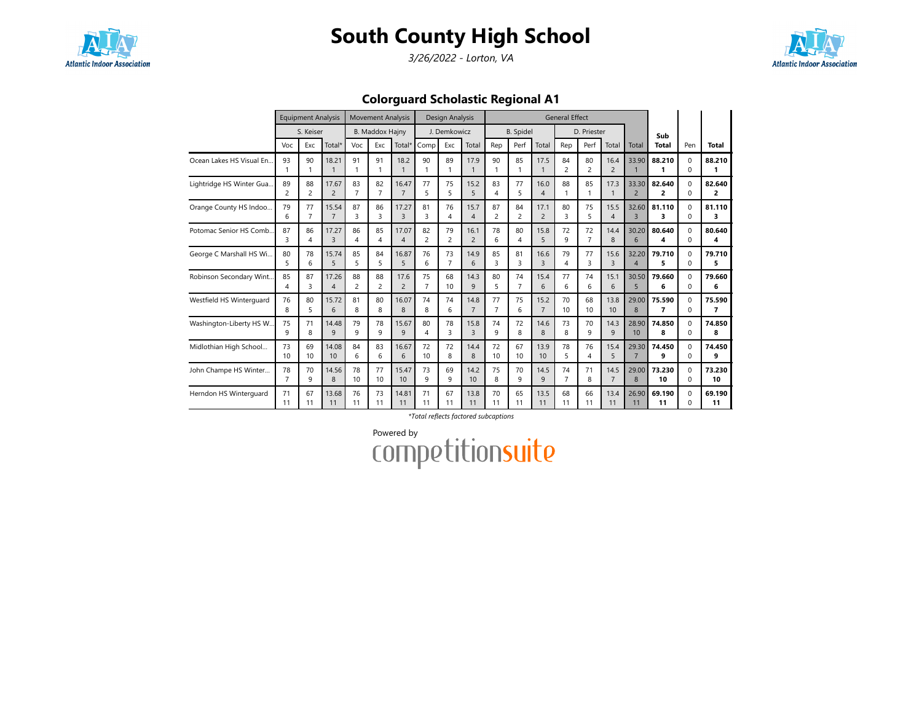

3/26/2022 - Lorton, VA



Colorguard Scholastic Regional A1

|                          |                         | <b>Equipment Analysis</b> |                |                | <b>Movement Analysis</b> |                      |                | Design Analysis |                      |                    |                  |                       | <b>General Effect</b> |                      |                        |                         |              |                      |        |
|--------------------------|-------------------------|---------------------------|----------------|----------------|--------------------------|----------------------|----------------|-----------------|----------------------|--------------------|------------------|-----------------------|-----------------------|----------------------|------------------------|-------------------------|--------------|----------------------|--------|
|                          |                         | S. Keiser                 |                |                | <b>B. Maddox Hajny</b>   |                      |                | J. Demkowicz    |                      |                    | <b>B.</b> Spidel |                       |                       | D. Priester          |                        |                         | Sub          |                      |        |
|                          | Voc                     | Exc                       | Total*         | Voc            | Exc                      | Total*               | Comp           | Exc             | Total                | Rep                | Perf             | Total                 | Rep                   | Perf                 | Total                  | Total                   | <b>Total</b> | Pen                  | Total  |
| Ocean Lakes HS Visual En | 93                      | 90                        | 18.21          | 91<br>1        | 91<br>$\overline{1}$     | 18.2<br>$\mathbf{1}$ | 90<br>1        | 89<br>1         | 17.9<br>$\mathbf{1}$ | 90<br>$\mathbf{1}$ | 85               | 17.5                  | 84<br>$\overline{2}$  | 80<br>$\overline{2}$ | 16.4<br>$\overline{2}$ | 33.90                   | 88.210       | $\Omega$<br>$\Omega$ | 88.210 |
| Lightridge HS Winter Gua | 89                      | 88                        | 17.67          | 83             | 82                       | 16.47                | 77             | 75              | 15.2                 | 83                 | 77               | 16.0                  | 88                    | 85                   | 17.3                   | 33.30                   | 82.640       | $\Omega$             | 82.640 |
|                          | $\overline{c}$          | 2                         | $\overline{2}$ | $\overline{7}$ | $\overline{7}$           | $\overline{7}$       | 5              | 5               | 5                    | $\overline{4}$     | 5                | $\boldsymbol{\Delta}$ | 1                     | 1                    | $\mathbf{1}$           | $\overline{c}$          | 2            | $\Omega$             | 2      |
| Orange County HS Indoo   | 79                      | 77                        | 15.54          | 87             | 86                       | 17.27                | 81             | 76              | 15.7                 | 87                 | 84               | 17.1                  | 80                    | 75                   | 15.5                   | 32.60                   | 81.110       | $\Omega$             | 81.110 |
|                          | 6                       | $\overline{7}$            | $\overline{7}$ | 3              | 3                        | $\overline{3}$       | 3              | 4               | $\overline{4}$       | $\overline{c}$     | $\overline{c}$   | $\overline{c}$        | 3                     | 5                    | $\overline{4}$         | $\overline{\mathbf{3}}$ | 3            | $\Omega$             | 3      |
| Potomac Senior HS Comb.  | 87                      | 86                        | 17.27          | 86             | 85                       | 17.07                | 82             | 79              | 16.1                 | 78                 | 80               | 15.8                  | 72                    | 72                   | 14.4                   | 30.20                   | 80.640       | $\Omega$             | 80.640 |
|                          | $\overline{\mathbf{z}}$ | 4                         | 3              | 4              | $\overline{4}$           | $\overline{4}$       | $\overline{c}$ | $\overline{c}$  | $\overline{2}$       | 6                  | 4                | 5                     | 9                     | $\overline{7}$       | 8                      | 6                       | 4            | $\Omega$             | 4      |
| George C Marshall HS Wi  | 80                      | 78                        | 15.74          | 85             | 84                       | 16.87                | 76             | 73              | 14.9                 | 85                 | 81               | 16.6                  | 79                    | 77                   | 15.6                   | 32.20                   | 79.710       | $\Omega$             | 79.710 |
|                          | 5                       | 6                         | 5              | 5              | 5                        | 5                    | 6              | $\overline{7}$  | 6                    | 3                  | 3                | 3                     | 4                     | 3                    | 3                      | 4                       | 5            | $\Omega$             | 5      |
| Robinson Secondary Wint  | 85                      | 87                        | 17.26          | 88             | 88                       | 17.6                 | 75             | 68              | 14.3                 | 80                 | 74               | 15.4                  | 77                    | 74                   | 15.1                   | 30.50                   | 79.660       | $\Omega$             | 79.660 |
|                          | $\overline{\mathbf{A}}$ | 3                         | $\overline{4}$ | $\overline{c}$ | $\overline{c}$           | $\overline{2}$       | $\overline{7}$ | 10              | 9                    | 5                  | $\overline{7}$   | 6                     | 6                     | 6                    | 6                      | 5                       | 6            | $\Omega$             | 6      |
| Westfield HS Winterguard | 76                      | 80                        | 15.72          | 81             | 80                       | 16.07                | 74             | 74              | 14.8                 | 77                 | 75               | 15.2                  | 70                    | 68                   | 13.8                   | 29.00                   | 75.590       | $\Omega$             | 75.590 |
|                          | 8                       | 5                         | 6              | 8              | 8                        | 8                    | 8              | 6               | $\overline{7}$       | $\overline{7}$     | 6                | $\overline{7}$        | 10                    | 10                   | 10                     | 8                       | 7            | $\Omega$             | 7      |
| Washington-Liberty HS W. | 75                      | 71                        | 14.48          | 79             | 78                       | 15.67                | 80             | 78              | 15.8                 | 74                 | 72               | 14.6                  | 73                    | 70                   | 14.3                   | 28.90                   | 74.850       | $\Omega$             | 74.850 |
|                          | q                       | 8                         | 9              | q              | 9                        | $\mathsf{q}$         | 4              | 3               | $\overline{3}$       | q                  | 8                | 8                     | 8                     | $\mathsf{Q}$         | 9                      | 10                      | 8            | $\Omega$             | 8      |
| Midlothian High School   | 73                      | 69                        | 14.08          | 84             | 83                       | 16.67                | 72             | 72              | 14.4                 | 72                 | 67               | 13.9                  | 78                    | 76                   | 15.4                   | 29.30                   | 74.450       | $\Omega$             | 74.450 |
|                          | 10                      | 10                        | 10             | 6              | 6                        | 6                    | 10             | 8               | 8                    | 10                 | 10               | 10                    | 5                     | $\overline{4}$       | 5                      | $\overline{7}$          | 9            | $\Omega$             | 9      |
| John Champe HS Winter    | 78                      | 70                        | 14.56          | 78             | 77                       | 15.47                | 73             | 69              | 14.2                 | 75                 | 70               | 14.5                  | 74                    | 71                   | 14.5                   | 29.00                   | 73.230       | $\Omega$             | 73.230 |
|                          | $\overline{7}$          | 9                         | 8              | 10             | 10                       | 10                   | 9              | 9               | 10                   | 8                  | 9                | $\mathsf{Q}$          | $\overline{7}$        | 8                    | $\overline{7}$         | 8                       | 10           | $\Omega$             | 10     |
| Herndon HS Winterquard   | 71                      | 67                        | 13.68          | 76             | 73                       | 14.81                | 71             | 67              | 13.8                 | 70                 | 65               | 13.5                  | 68                    | 66                   | 13.4                   | 26.90                   | 69.190       | $\Omega$             | 69.190 |
|                          | 11                      | 11                        | 11             | 11             | 11                       | 11                   | 11             | 11              | 11                   | 11                 | 11               | 11                    | 11                    | 11                   | 11                     | 11                      | 11           | <sup>n</sup>         | 11     |

\*Total reflects factored subcaptions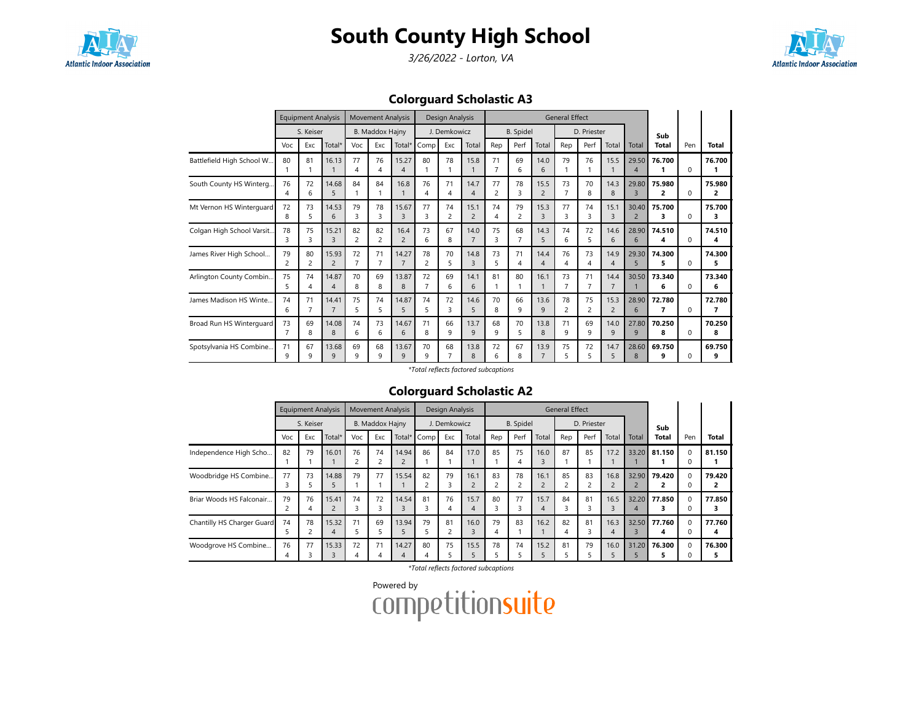

3/26/2022 - Lorton, VA



Colorguard Scholastic A3

|                           |         | <b>Equipment Analysis</b> |                         |                      | <b>Movement Analysis</b> |                         |         | Design Analysis |                        |                      |                      |                        | <b>General Effect</b> |                      |                        |                         |                                   |              |             |
|---------------------------|---------|---------------------------|-------------------------|----------------------|--------------------------|-------------------------|---------|-----------------|------------------------|----------------------|----------------------|------------------------|-----------------------|----------------------|------------------------|-------------------------|-----------------------------------|--------------|-------------|
|                           |         | S. Keiser                 |                         |                      | <b>B. Maddox Hajny</b>   |                         |         | J. Demkowicz    |                        |                      | <b>B.</b> Spidel     |                        |                       | D. Priester          |                        |                         | Sub                               |              |             |
|                           | Voc     | Exc                       | Total*                  | Voc                  | Exc                      | Total*                  | Comp    | Exc             | Total                  | Rep                  | Perf                 | Total                  | Rep                   | Perf                 | Total                  | Total                   | Total                             | Pen          | Total       |
| Battlefield High School W | 80      | 81                        | 16.13                   | 77<br>4              | 76<br>4                  | 15.27<br>4              | 80      | 78              | 15.8                   | 71<br>$\overline{7}$ | 69<br>6              | 14.0<br>6              | 79                    | 76                   | 15.5                   | 29.50<br>4              | 76.700                            | $\Omega$     | 76.700      |
| South County HS Winterg   | 76      | 72<br>6                   | 14.68<br>5              | 84                   | 84                       | 16.8                    | 76<br>4 | 71<br>4         | 14.7<br>$\overline{4}$ | 77<br>$\overline{2}$ | 78<br>3              | 15.5<br>2              | 73                    | 70<br>8              | 14.3<br>8              | 29.80<br>$\overline{3}$ | 75.980<br>2                       | $\Omega$     | 75.980<br>2 |
| Mt Vernon HS Winterguard  | 72<br>8 | 73<br>5                   | 14.53<br>6              | 79<br>3              | 78<br>3                  | 15.67<br>$\overline{3}$ | 77<br>3 | 74<br>2         | 15.1<br>$\overline{2}$ | 74<br>4              | 79<br>$\overline{c}$ | 15.3<br>$\overline{3}$ | 77<br>3               | 74<br>3              | 15.1<br>$\overline{3}$ | 30.40<br>$\overline{2}$ | 75.700<br>3                       | $\Omega$     | 75.700<br>3 |
| Colgan High School Varsit | 78<br>3 | 75<br>3                   | 15.21<br>3              | 82<br>$\overline{c}$ | 82<br>$\overline{2}$     | 16.4<br>$\overline{2}$  | 73<br>6 | 67<br>8         | 14.0<br>$\overline{7}$ | 75<br>3              | 68                   | 14.3<br>5              | 74<br>6               | 72<br>5              | 14.6<br>6              | 28.90<br>6              | 74.510<br>4                       | $\Omega$     | 74.510<br>4 |
| James River High School   | 79<br>2 | 80<br>2                   | 15.93<br>$\overline{c}$ | 72<br>$\overline{7}$ | 71<br>$\overline{7}$     | 14.27<br>$\overline{7}$ | 78<br>2 | 70<br>5         | 14.8<br>3              | 73<br>5              | 71<br>4              | 14.4<br>4              | 76<br>4               | 73<br>4              | 14.9<br>$\overline{4}$ | 29.30<br>5              | 74.300<br>5                       | <sup>0</sup> | 74.300<br>5 |
| Arlington County Combin   | 75<br>5 | 74                        | 14.87<br>4              | 70<br>8              | 69<br>8                  | 13.87<br>8              | 72      | 69<br>6         | 14.1<br>6              | 81                   | 80                   | 16.1                   | 73<br>7               | 71<br>$\overline{7}$ | 14.4<br>$\overline{7}$ | 30.50                   | 73.340<br>6                       | <sup>n</sup> | 73.340<br>6 |
| James Madison HS Winte    | 74<br>6 | 71                        | 14.41<br>$\overline{7}$ | 75<br>5              | 74<br>5                  | 14.87<br>5              | 74<br>5 | 72<br>3         | 14.6<br>5              | 70<br>8              | 66<br>9              | 13.6<br>9              | 78<br>2               | 75<br>$\overline{2}$ | 15.3<br>$\overline{2}$ | 28.90<br>6              | 72.780<br>$\overline{\mathbf{z}}$ | $\Omega$     | 72.780<br>7 |
| Broad Run HS Winterguard  | 73<br>7 | 69<br>8                   | 14.08<br>8              | 74<br>6              | 73<br>6                  | 14.67<br>6              | 71<br>8 | 66<br>9         | 13.7<br>9              | 68<br>9              | 70<br>5              | 13.8<br>8              | 71<br>9               | 69<br>9              | 14.0<br>9              | 27.80<br>9              | 70.250<br>8                       | $\Omega$     | 70.250<br>8 |
| Spotsylvania HS Combine   | 71<br>q | 67<br>q                   | 13.68<br>$\mathsf{q}$   | 69<br>q              | 68<br>$\mathsf{q}$       | 13.67<br>$\mathsf{Q}$   | 70<br>q | 68<br>7         | 13.8<br>8              | 72<br>6              | 67<br>8              | 13.9<br>$\overline{7}$ | 75<br>5               | 72<br>5              | 14.7<br>5              | 28.60<br>$\mathsf{R}$   | 69.750<br>9                       | U            | 69.750<br>9 |

#### \*Total reflects factored subcaptions

### Colorguard Scholastic A2

|                            |     | <b>Equipment Analysis</b> |                         |     | <b>Movement Analysis</b> |            |      | Design Analysis         |           |                                |                  |           | <b>General Effect</b> |             |                        |                         |             |                      |        |
|----------------------------|-----|---------------------------|-------------------------|-----|--------------------------|------------|------|-------------------------|-----------|--------------------------------|------------------|-----------|-----------------------|-------------|------------------------|-------------------------|-------------|----------------------|--------|
|                            |     | S. Keiser                 |                         |     | B. Maddox Hajny          |            |      | J. Demkowicz            |           |                                | <b>B.</b> Spidel |           |                       | D. Priester |                        |                         | Sub         |                      |        |
|                            | Voc | Exc                       | Total*                  | Voc | Exc                      | Total*     | Comp | Exc                     | Total     | Rep                            | Perf             | Total     | Rep                   | Perf        | Total                  | Total                   | Total       | Pen                  | Total  |
| Independence High Scho     | 82  | 79                        | 16.01                   | 76  | 74<br>$\overline{2}$     | 14.94      | 86   | 84                      | 17.0      | 85                             | 75               | 16.0      | 87                    | 85          | 17.2                   | 33.20                   | 81.150      | $\Omega$<br>0        | 81.150 |
| Woodbridge HS Combine      | 77  | 73                        | 14.88<br>5              | 79  | 77                       | 15.54      | 82   | 79<br>3                 | 16.1      | 83<br>$\overline{\phantom{a}}$ | 78               | 16.1      | 85                    | 83          | 16.8<br>$\overline{2}$ | 32.90                   | 79.420      | $\Omega$<br>$\Omega$ | 79.420 |
| Briar Woods HS Falconair   | 79  | 76<br>4                   | 15.41<br>$\overline{2}$ | 74  | 72<br>3                  | 14.54      | 81   | 76<br>4                 | 15.7<br>4 | 80<br>3                        | 77<br>3          | 15.7<br>4 | 84<br>3               | 81          | 16.5<br>3              | 32.20<br>$\overline{A}$ | 77.850      | 0<br>0               | 77.850 |
| Chantilly HS Charger Guard | 74  | 78                        | 15.32<br>4              | 71  | 69<br>5                  | 13.94      | 79   | 81<br>$\mathbf{\hat{}}$ | 16.0<br>3 | 79<br>$\overline{4}$           | 83               | 16.2      | 82<br>4               | 81          | 16.3<br>$\overline{4}$ | 32.50                   | 77.760<br>4 | $\Omega$<br>0        | 77.760 |
| Woodgrove HS Combine       | 76  | 77                        | 15.33<br>3              | 72  | 71<br>4                  | 14.27<br>4 | 80   | 75                      | 15.5      | 78                             | 74               | 15.2      | 81                    | 79          | 16.0<br>5              | 31.20                   | 76.300      | $\Omega$<br>0        | 76.300 |

\*Total reflects factored subcaptions

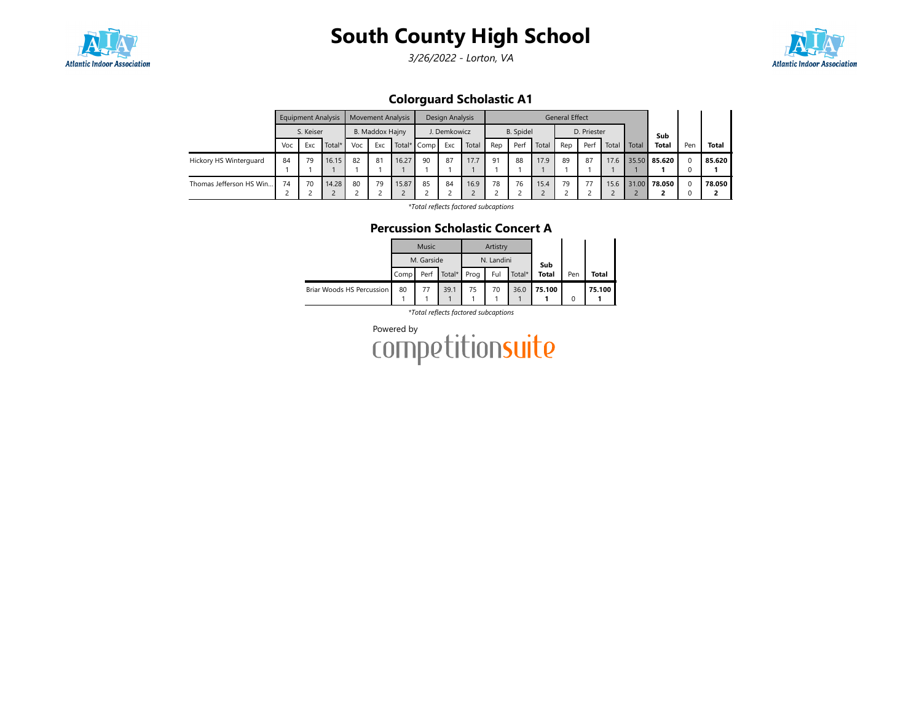

3/26/2022 - Lorton, VA



Colorguard Scholastic A1

|                         |     | <b>Equipment Analysis</b> |           |    | <b>Movement Analysis</b>                     |       |    | Design Analysis |       |     |                  |       | <b>General Effect</b> |             |       |       |              |          |              |
|-------------------------|-----|---------------------------|-----------|----|----------------------------------------------|-------|----|-----------------|-------|-----|------------------|-------|-----------------------|-------------|-------|-------|--------------|----------|--------------|
|                         |     | S. Keiser                 |           |    | B. Maddox Hajny<br>Exc<br>Voc<br>Total* Comp |       |    | J. Demkowicz    |       |     | <b>B.</b> Spidel |       |                       | D. Priester |       |       | Sub          |          |              |
|                         | Voc | Exc                       | Total $*$ |    |                                              |       |    | Exc             | Total | Rep | Perf             | Total | Rep                   | Perf        | Total | Total | <b>Total</b> | Pen      | <b>Total</b> |
| Hickory HS Winterguard  | 84  | 79                        | 16.15     | 82 | 81                                           | 16.27 | 90 | 87              | 17.7  | 91  | 88               | 17.9  | 89                    | 87          | 17.6  |       | 35.50 85.620 | 0        | 85.620       |
| Thomas Jefferson HS Win | 74  | 70                        | 14.28     | 80 | 79                                           | 15.87 | 85 | 84              | 16.9  | 78  | 76               | 15.4  | 79                    | 77          | 15.6  |       | 31.00 78.050 | $\Omega$ | 78.050       |

\*Total reflects factored subcaptions

### Percussion Scholastic Concert A

|                           |      | <b>Music</b> |             |    | Artistry   |        |              |     |        |
|---------------------------|------|--------------|-------------|----|------------|--------|--------------|-----|--------|
|                           |      | M. Garside   |             |    | N. Landini |        | Sub          |     |        |
|                           | Comp | Perf         | Total* Prog |    | Ful        | Total* | <b>Total</b> | Pen | Total  |
| Briar Woods HS Percussion | 80   |              | 39.1        | 75 | 70         | 36.0   | 75.100       |     | 75.100 |
|                           |      |              |             |    |            |        |              |     |        |

\*Total reflects factored subcaptions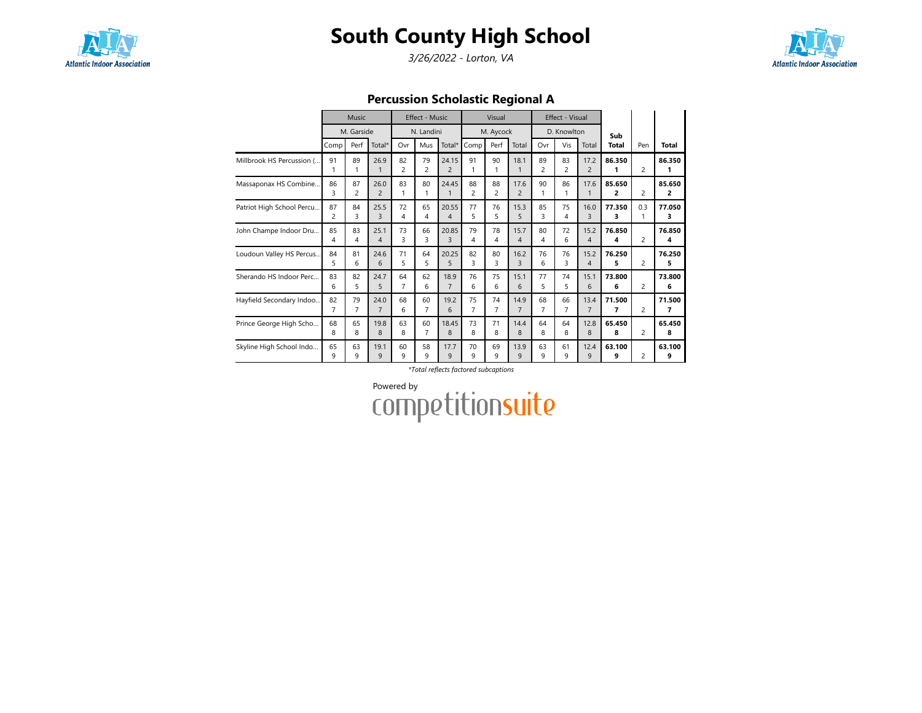

3/26/2022 - Lorton, VA



Percussion Scholastic Regional A

|                           |                      | Music                |                        |                      | Effect - Music       |                         |         | Visual               |                               |                      | Effect - Visual      |                        |              |                |              |
|---------------------------|----------------------|----------------------|------------------------|----------------------|----------------------|-------------------------|---------|----------------------|-------------------------------|----------------------|----------------------|------------------------|--------------|----------------|--------------|
|                           |                      | M. Garside           |                        |                      | N. Landini           |                         |         | M. Aycock            |                               |                      | D. Knowlton          |                        | Sub          |                |              |
|                           | Comp                 | Perf                 | Total*                 | Ovr                  | Mus                  | Total*                  | Comp    | Perf                 | Total                         | Ovr                  | Vis                  | Total                  | <b>Total</b> | Pen            | <b>Total</b> |
| Millbrook HS Percussion ( | 91                   | 89<br>1              | 26.9<br>$\mathbf{1}$   | 82<br>$\overline{2}$ | 79<br>$\overline{2}$ | 24.15<br>$\overline{c}$ | 91      | 90<br>1              | 18.1<br>$\mathbf{1}$          | 89<br>$\overline{c}$ | 83<br>$\overline{c}$ | 17.2<br>$\overline{c}$ | 86.350<br>1  | $\overline{2}$ | 86.350<br>1  |
| Massaponax HS Combine     | 86<br>3              | 87<br>$\overline{c}$ | 26.0<br>$\overline{c}$ | 83<br>1              | 80<br>1              | 24.45<br>1              | 88<br>2 | 88<br>$\overline{c}$ | 17.6<br>$\overline{c}$        | 90<br>1              | 86<br>1              | 17.6<br>1              | 85.650<br>2  | 2              | 85.650<br>2  |
| Patriot High School Percu | 87<br>$\overline{c}$ | 84<br>3              | 25.5<br>3              | 72<br>4              | 65<br>4              | 20.55<br>4              | 77<br>5 | 76<br>5              | 15.3<br>5                     | 85<br>3              | 75<br>4              | 16.0<br>3              | 77.350<br>3  | 0.3<br>1       | 77.050<br>3  |
| John Champe Indoor Dru    | 85<br>4              | 83<br>4              | 25.1<br>$\overline{4}$ | 73<br>3              | 66<br>3              | 20.85<br>3              | 79<br>4 | 78<br>4              | 15.7<br>$\boldsymbol{\Delta}$ | 80<br>4              | 72<br>6              | 15.2<br>$\overline{4}$ | 76.850<br>4  | $\overline{2}$ | 76.850<br>4  |
| Loudoun Valley HS Percus  | 84<br>5              | 81<br>6              | 24.6<br>6              | 71<br>5              | 64<br>5              | 20.25<br>5              | 82<br>3 | 80<br>3              | 16.2<br>3                     | 76<br>6              | 76<br>3              | 15.2<br>$\overline{4}$ | 76.250<br>5  | $\overline{2}$ | 76.250<br>5  |
| Sherando HS Indoor Perc   | 83<br>6              | 82<br>5              | 24.7<br>5              | 64<br>$\overline{7}$ | 62<br>6              | 18.9<br>$\overline{7}$  | 76<br>6 | 75<br>6              | 15.1<br>6                     | 77<br>5              | 74<br>5              | 15.1<br>6              | 73.800<br>6  | $\overline{2}$ | 73.800<br>6  |
| Hayfield Secondary Indoo  | 82<br>7              | 79<br>$\overline{7}$ | 24.0<br>$\overline{7}$ | 68<br>6              | 60<br>$\overline{7}$ | 19.2<br>6               | 75<br>7 | 74<br>7              | 14.9<br>$\overline{7}$        | 68<br>$\overline{7}$ | 66<br>7              | 13.4<br>$\overline{7}$ | 71.500<br>7  | $\overline{2}$ | 71.500<br>7  |
| Prince George High Scho   | 68<br>8              | 65<br>8              | 19.8<br>8              | 63<br>8              | 60<br>$\overline{7}$ | 18.45<br>8              | 73<br>8 | 71<br>8              | 14.4<br>8                     | 64<br>8              | 64<br>8              | 12.8<br>8              | 65.450<br>8  | $\overline{2}$ | 65.450<br>8  |
| Skyline High School Indo  | 65<br>9              | 63<br>9              | 19.1<br>9              | 60<br>9              | 58<br>9              | 17.7<br>9               | 70<br>9 | 69<br>9              | 13.9<br>9                     | 63<br>9              | 61<br>9              | 12.4<br>9              | 63.100<br>9  | $\overline{2}$ | 63.100<br>9  |

#### \*Total reflects factored subcaptions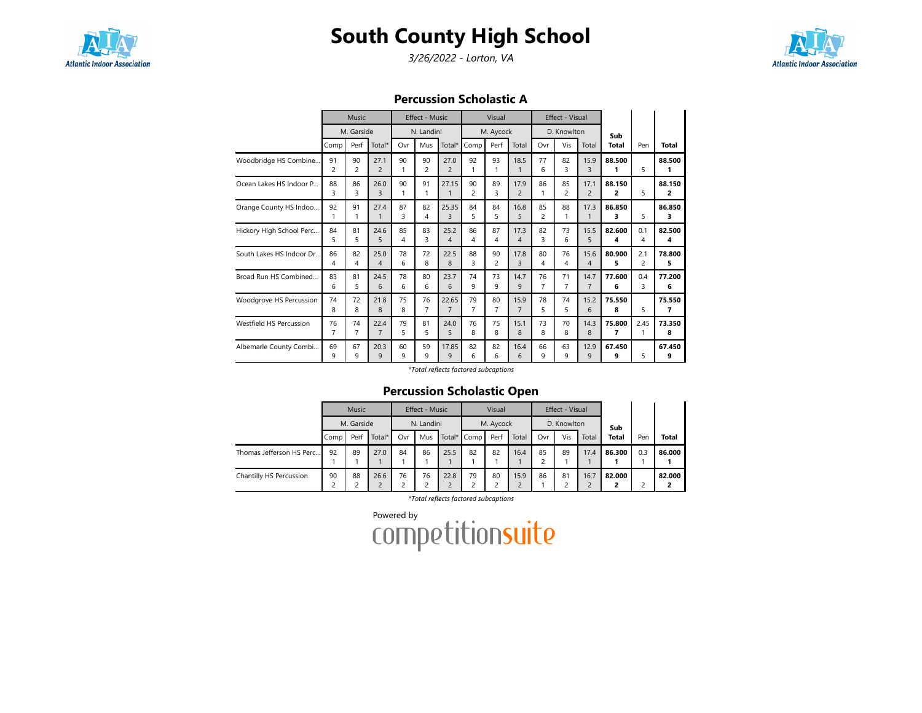

3/26/2022 - Lorton, VA



#### Percussion Scholastic A

|                          |                      | Music                |                        |         | <b>Effect - Music</b> |                         |                      | Visual    |                        |                      | Effect - Visual      |                        |              |           |              |
|--------------------------|----------------------|----------------------|------------------------|---------|-----------------------|-------------------------|----------------------|-----------|------------------------|----------------------|----------------------|------------------------|--------------|-----------|--------------|
|                          |                      | M. Garside           |                        |         | N. Landini            |                         |                      | M. Aycock |                        |                      | D. Knowlton          |                        | Sub          |           |              |
|                          | Comp                 | Perf                 | Total*                 | Ovr     | Mus                   | Total*                  | Comp                 | Perf      | Total                  | Ovr                  | Vis                  | Total                  | <b>Total</b> | Pen       | <b>Total</b> |
| Woodbridge HS Combine    | 91<br>$\overline{c}$ | 90<br>$\overline{c}$ | 27.1<br>$\overline{c}$ | 90<br>1 | 90<br>$\overline{c}$  | 27.0<br>$\overline{2}$  | 92<br>1              | 93<br>1   | 18.5<br>1              | 77<br>6              | 82<br>3              | 15.9<br>3              | 88.500<br>1  | 5         | 88.500<br>1  |
| Ocean Lakes HS Indoor P  | 88<br>3              | 86<br>3              | 26.0<br>3              | 90<br>1 | 91<br>1               | 27.15<br>$\mathbf{1}$   | 90<br>$\overline{c}$ | 89<br>3   | 17.9<br>$\overline{c}$ | 86<br>1              | 85<br>$\overline{c}$ | 17.1<br>$\overline{c}$ | 88.150<br>2  | 5         | 88.150<br>2  |
| Orange County HS Indoo   | 92<br>1              | 91<br>1              | 27.4<br>$\mathbf{1}$   | 87<br>3 | 82<br>4               | 25.35<br>3              | 84<br>5              | 84<br>5   | 16.8<br>5              | 85<br>$\overline{c}$ | 88<br>1              | 17.3<br>1              | 86.850<br>3  | 5         | 86.850<br>3  |
| Hickory High School Perc | 84<br>5              | 81<br>5              | 24.6<br>5              | 85<br>4 | 83<br>3               | 25.2<br>4               | 86<br>4              | 87<br>4   | 17.3<br>4              | 82<br>3              | 73<br>6              | 15.5<br>5              | 82.600<br>4  | 0.1<br>4  | 82.500<br>4  |
| South Lakes HS Indoor Dr | 86<br>4              | 82<br>4              | 25.0<br>$\overline{4}$ | 78<br>6 | 72<br>8               | 22.5<br>8               | 88<br>3              | 90<br>2   | 17.8<br>3              | 80<br>4              | 76<br>4              | 15.6<br>4              | 80.900<br>5  | 2.1<br>2  | 78.800<br>5  |
| Broad Run HS Combined    | 83<br>6              | 81<br>5              | 24.5<br>6              | 78<br>6 | 80<br>6               | 23.7<br>6               | 74<br>9              | 73<br>9   | 14.7<br>9              | 76<br>$\overline{7}$ | 71<br>$\overline{7}$ | 14.7<br>$\overline{7}$ | 77.600<br>6  | 0.4<br>3  | 77.200<br>6  |
| Woodgrove HS Percussion  | 74<br>8              | 72<br>8              | 21.8<br>8              | 75<br>8 | 76<br>7               | 22.65<br>$\overline{7}$ | 79<br>$\overline{7}$ | 80<br>7   | 15.9<br>$\overline{7}$ | 78<br>5              | 74<br>5              | 15.2<br>6              | 75.550<br>8  | 5         | 75.550<br>7  |
| Westfield HS Percussion  | 76<br>$\overline{7}$ | 74<br>7              | 22.4<br>$\overline{7}$ | 79<br>5 | 81<br>5               | 24.0<br>5               | 76<br>8              | 75<br>8   | 15.1<br>8              | 73<br>8              | 70<br>8              | 14.3<br>8              | 75.800<br>7  | 2.45<br>1 | 73.350<br>8  |
| Albemarle County Combi   | 69<br>q              | 67<br>٩              | 20.3<br>9              | 60<br>q | 59<br>9               | 17.85<br>9              | 82<br>6              | 82<br>ĥ   | 16.4<br>6              | 66<br>q              | 63<br>9              | 12.9<br>9              | 67.450<br>9  | 5         | 67.450<br>9  |

\*Total reflects factored subcaptions

### Percussion Scholastic Open

|                          |                           | <b>Music</b> |      |     | Effect - Music |      |             | Visual    |       |     | Effect - Visual |       |              |     |        |
|--------------------------|---------------------------|--------------|------|-----|----------------|------|-------------|-----------|-------|-----|-----------------|-------|--------------|-----|--------|
|                          |                           | M. Garside   |      |     | N. Landini     |      |             | M. Aycock |       |     | D. Knowlton     |       | Sub          |     |        |
|                          | Total $*$<br>Perf<br>Comp |              |      | Ovr | Mus            |      | Total* Comp | Perf      | Total | Ovr | Vis             | Total | <b>Total</b> | Pen | Total  |
| Thomas Jefferson HS Perc | 92                        | 89           | 27.0 | 84  | 86             | 25.5 | 82          | 82        | 16.4  | 85  | 89              | 17.4  | 86.300       | 0.3 | 86.000 |
| Chantilly HS Percussion  | 88<br>90<br>26.6<br>っ     |              |      | 76  | 76             | 22.8 | 79          | 80        | 15.9  | 86  | 81              | 16.7  | 82.000       |     | 82.000 |

\*Total reflects factored subcaptions